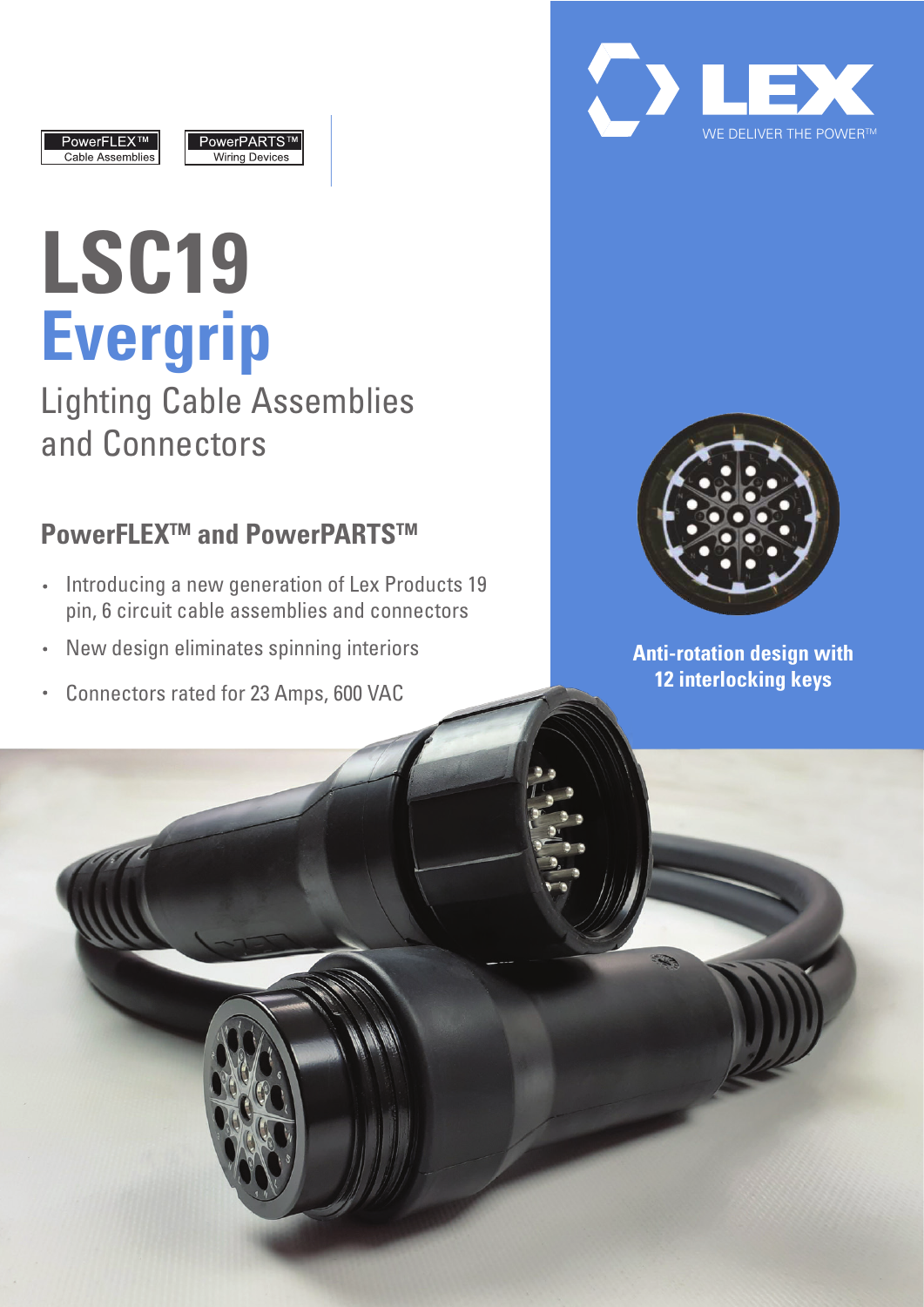





# **LSC19 Evergrip**

Lighting Cable Assemblies and Connectors

## **PowerFLEX<sup>™</sup> and PowerPARTS™**

- $\cdot$  Introducing a new generation of Lex Products 19 pin, 6 circuit cable assemblies and connectors
- New design eliminates spinning interiors  $\ddot{\phantom{0}}$
- Connectors rated for 23 Amps, 600 VAC  $\ddot{\phantom{0}}$



**Anti-rotation design with 12 interlocking keys**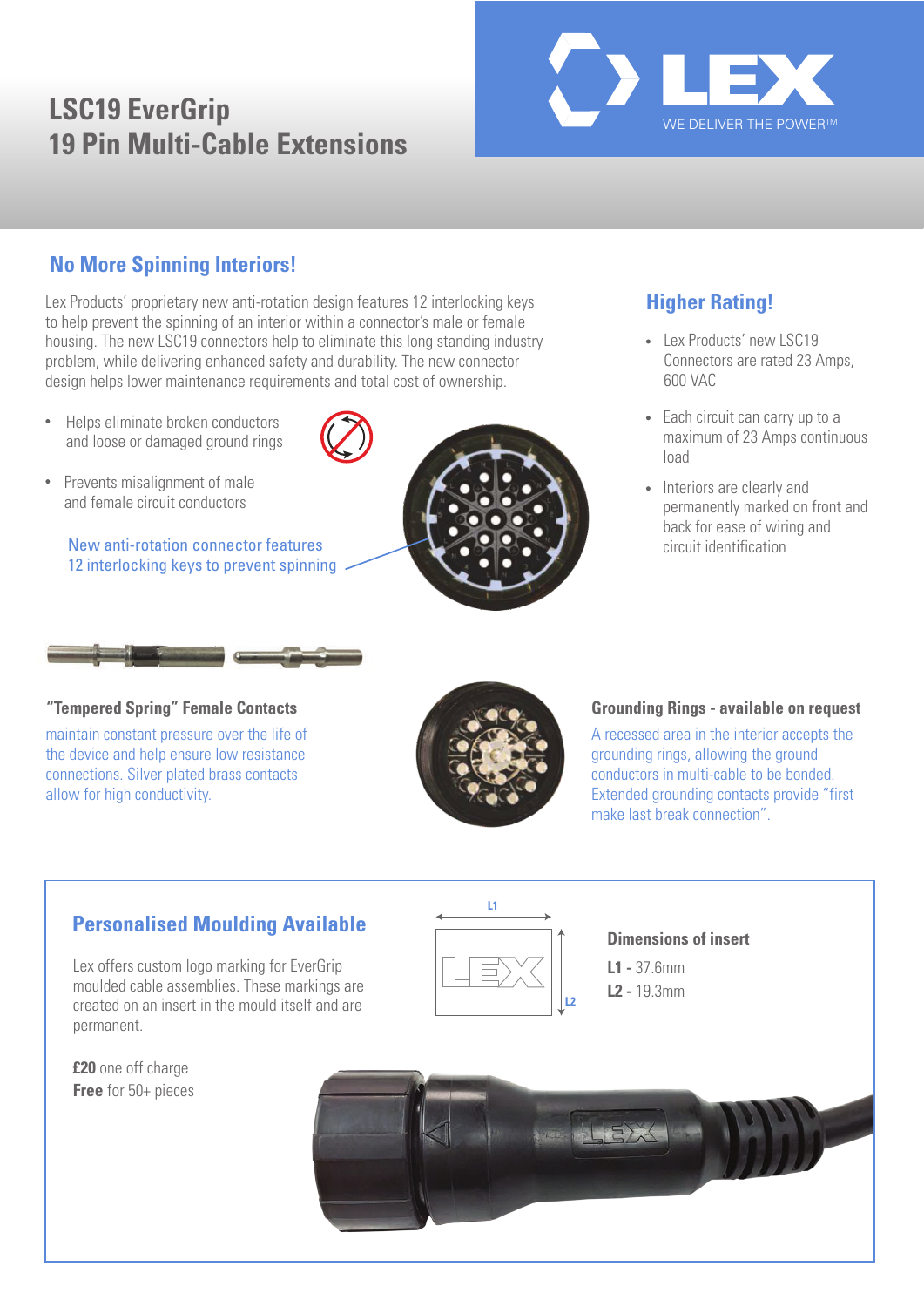## **LSC19 EverGrip 19 Pin Multi-Cable Extensions**



#### **No More Spinning Interiors!**

Lex Products' proprietary new anti-rotation design features 12 interlocking keys to help prevent the spinning of an interior within a connector's male or female housing. The new LSC19 connectors help to eliminate this long standing industry problem, while delivering enhanced safety and durability. The new connector design helps lower maintenance requirements and total cost of ownership.

- $\bullet$ Helps eliminate broken conductors and loose or damaged ground rings
- $\bullet$ Prevents misalignment of male and female circuit conductors

New anti-rotation connector features 12 interlocking keys to prevent spinning



## **Higher Rating!**

- Lex Products' new LSC19 Connectors are rated 23 Amps, 600 VAC
- Each circuit can carry up to a maximum of 23 Amps continuous load
- Interiors are clearly and permanently marked on front and back for ease of wiring and circuit identification



maintain constant pressure over the life of the device and help ensure low resistance connections. Silver plated brass contacts allow for high conductivity.



#### **Tempered Spring" Female Contacts Grounding Rings - available on request**

A recessed area in the interior accepts the grounding rings, allowing the ground conductors in multi-cable to be bonded. Extended grounding contacts provide "first make last break connection".

#### **Personalised Moulding Available**

Lex offers custom logo marking for EverGrip moulded cable assemblies. These markings are created on an insert in the mould itself and are permanent.

**£20** one off charge **Free** for 50+ pieces



#### **Dimensions of insert**

**L1 -** 37.6mm **L2 -** 19.3mm